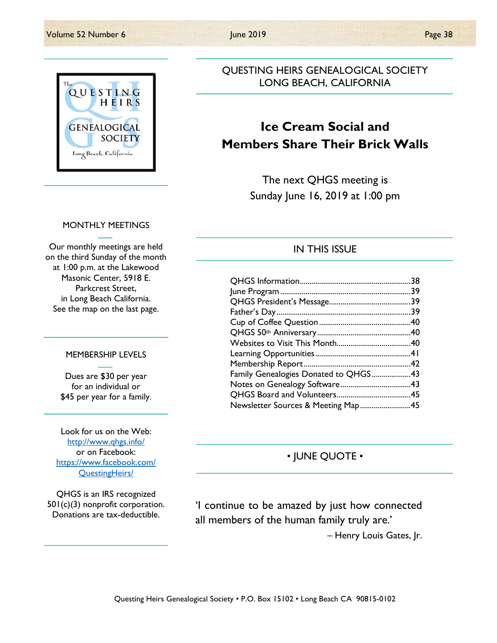

## QUESTING HEIRS GENEALOGICAL SOCIETY LONG BEACH, CALIFORNIA

# Ice Cream Social and Members Share Their Brick Walls

The next QHGS meeting is Sunday June 16, 2019 at 1:00 pm

#### MONTHLY MEETINGS

Our monthly meetings are held on the third Sunday of the month at 1:00 p.m. at the Lakewood Masonic Center, 5918 E. Parkcrest Street, in Long Beach California. See the map on the last page.

#### MEMBERSHIP LEVELS

Dues are \$30 per year for an individual or \$45 per year for a family.

Look for us on the Web: http://www.qhgs.info/ or on Facebook: https://www.facebook.com/ QuestingHeirs/

QHGS is an IRS recognized 501(c)(3) nonprofit corporation. Donations are tax-deductible.

#### IN THIS ISSUE

| Family Genealogies Donated to QHGS43 |  |
|--------------------------------------|--|
|                                      |  |
|                                      |  |
| Newsletter Sources & Meeting Map45   |  |

## • JUNE QUOTE •

'I continue to be amazed by just how connected all members of the human family truly are.' – Henry Louis Gates, Jr.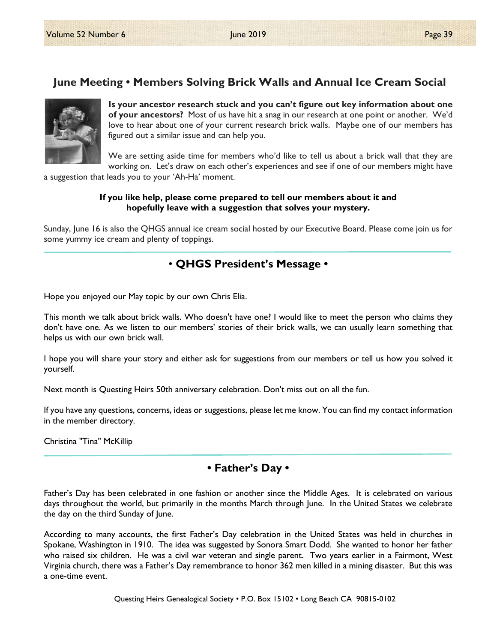# June Meeting • Members Solving Brick Walls and Annual Ice Cream Social



Is your ancestor research stuck and you can't figure out key information about one of your ancestors? Most of us have hit a snag in our research at one point or another. We'd love to hear about one of your current research brick walls. Maybe one of our members has figured out a similar issue and can help you.

We are setting aside time for members who'd like to tell us about a brick wall that they are working on. Let's draw on each other's experiences and see if one of our members might have

a suggestion that leads you to your 'Ah-Ha' moment.

#### If you like help, please come prepared to tell our members about it and hopefully leave with a suggestion that solves your mystery.

Sunday, June 16 is also the QHGS annual ice cream social hosted by our Executive Board. Please come join us for some yummy ice cream and plenty of toppings.

# • QHGS President's Message •

Hope you enjoyed our May topic by our own Chris Elia.

This month we talk about brick walls. Who doesn't have one? I would like to meet the person who claims they don't have one. As we listen to our members' stories of their brick walls, we can usually learn something that helps us with our own brick wall.

I hope you will share your story and either ask for suggestions from our members or tell us how you solved it yourself.

Next month is Questing Heirs 50th anniversary celebration. Don't miss out on all the fun.

If you have any questions, concerns, ideas or suggestions, please let me know. You can find my contact information in the member directory.

Christina "Tina" McKillip

## • Father's Day •

Father's Day has been celebrated in one fashion or another since the Middle Ages. It is celebrated on various days throughout the world, but primarily in the months March through June. In the United States we celebrate the day on the third Sunday of June.

According to many accounts, the first Father's Day celebration in the United States was held in churches in Spokane, Washington in 1910. The idea was suggested by Sonora Smart Dodd. She wanted to honor her father who raised six children. He was a civil war veteran and single parent. Two years earlier in a Fairmont, West Virginia church, there was a Father's Day remembrance to honor 362 men killed in a mining disaster. But this was a one-time event.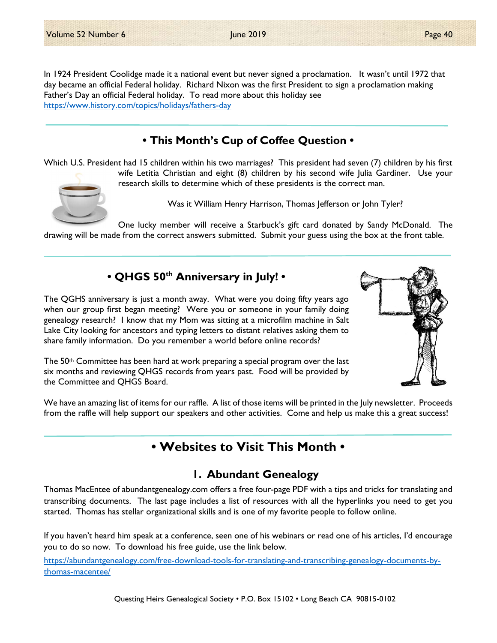In 1924 President Coolidge made it a national event but never signed a proclamation. It wasn't until 1972 that day became an official Federal holiday. Richard Nixon was the first President to sign a proclamation making Father's Day an official Federal holiday. To read more about this holiday see https://www.history.com/topics/holidays/fathers-day

# • This Month's Cup of Coffee Question •

Which U.S. President had 15 children within his two marriages? This president had seven (7) children by his first wife Letitia Christian and eight (8) children by his second wife Julia Gardiner. Use your



research skills to determine which of these presidents is the correct man. Was it William Henry Harrison, Thomas Jefferson or John Tyler?

One lucky member will receive a Starbuck's gift card donated by Sandy McDonald. The drawing will be made from the correct answers submitted. Submit your guess using the box at the front table.

## • QHGS 50<sup>th</sup> Anniversary in July! •



The 50th Committee has been hard at work preparing a special program over the last six months and reviewing QHGS records from years past. Food will be provided by the Committee and QHGS Board.



We have an amazing list of items for our raffle. A list of those items will be printed in the July newsletter. Proceeds from the raffle will help support our speakers and other activities. Come and help us make this a great success!

# • Websites to Visit This Month •

# 1. Abundant Genealogy

Thomas MacEntee of abundantgenealogy.com offers a free four-page PDF with a tips and tricks for translating and transcribing documents. The last page includes a list of resources with all the hyperlinks you need to get you started. Thomas has stellar organizational skills and is one of my favorite people to follow online.

If you haven't heard him speak at a conference, seen one of his webinars or read one of his articles, I'd encourage you to do so now. To download his free guide, use the link below.

https://abundantgenealogy.com/free-download-tools-for-translating-and-transcribing-genealogy-documents-bythomas-macentee/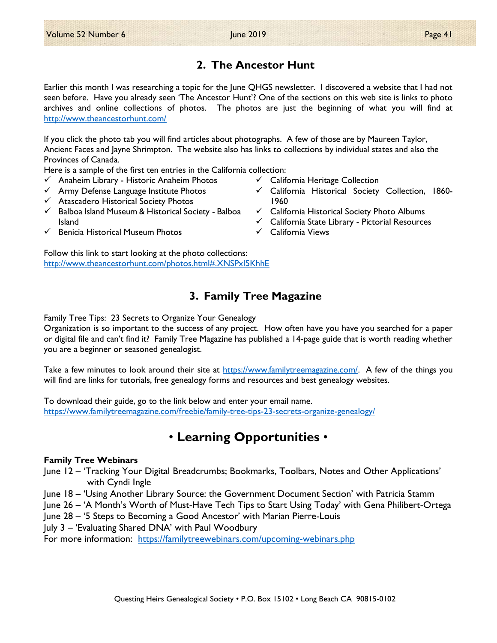## 2. The Ancestor Hunt

Earlier this month I was researching a topic for the June QHGS newsletter. I discovered a website that I had not seen before. Have you already seen 'The Ancestor Hunt'? One of the sections on this web site is links to photo archives and online collections of photos. The photos are just the beginning of what you will find at http://www.theancestorhunt.com/

If you click the photo tab you will find articles about photographs. A few of those are by Maureen Taylor, Ancient Faces and Jayne Shrimpton. The website also has links to collections by individual states and also the Provinces of Canada.

Here is a sample of the first ten entries in the California collection:

- $\checkmark$  Anaheim Library Historic Anaheim Photos
- $\checkmark$  Army Defense Language Institute Photos
- Atascadero Historical Society Photos
- $\checkmark$  Balboa Island Museum & Historical Society Balboa Island
- $\checkmark$  Benicia Historical Museum Photos

Follow this link to start looking at the photo collections: http://www.theancestorhunt.com/photos.html#.XNSPxI5KhhE

## 3. Family Tree Magazine

Family Tree Tips: 23 Secrets to Organize Your Genealogy

Organization is so important to the success of any project. How often have you have you searched for a paper or digital file and can't find it? Family Tree Magazine has published a 14-page guide that is worth reading whether you are a beginner or seasoned genealogist.

Take a few minutes to look around their site at https://www.familytreemagazine.com/. A few of the things you will find are links for tutorials, free genealogy forms and resources and best genealogy websites.

To download their guide, go to the link below and enter your email name. https://www.familytreemagazine.com/freebie/family-tree-tips-23-secrets-organize-genealogy/

# • Learning Opportunities •

#### Family Tree Webinars

June 12 – 'Tracking Your Digital Breadcrumbs; Bookmarks, Toolbars, Notes and Other Applications' with Cyndi Ingle

June 18 – 'Using Another Library Source: the Government Document Section' with Patricia Stamm

June 26 – 'A Month's Worth of Must-Have Tech Tips to Start Using Today' with Gena Philibert-Ortega June 28 – '5 Steps to Becoming a Good Ancestor' with Marian Pierre-Louis

July 3 – 'Evaluating Shared DNA' with Paul Woodbury

For more information: https://familytreewebinars.com/upcoming-webinars.php

- $\checkmark$  California Heritage Collection
- $\checkmark$  California Historical Society Collection, 1860-1960
- $\checkmark$  California Historical Society Photo Albums
- $\checkmark$  California State Library Pictorial Resources
- $\checkmark$  California Views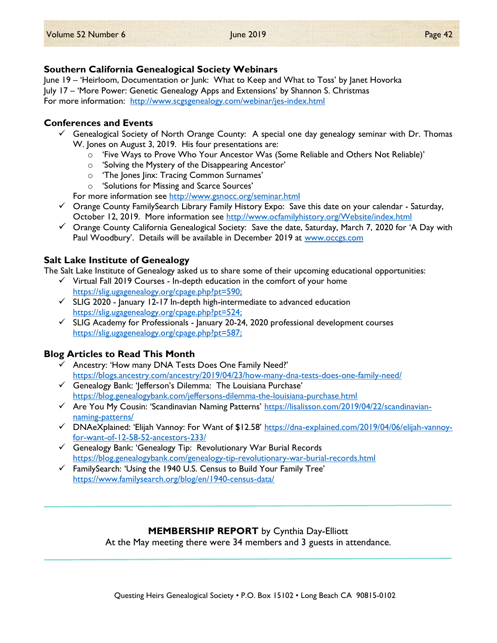#### Southern California Genealogical Society Webinars

June 19 – 'Heirloom, Documentation or Junk: What to Keep and What to Toss' by Janet Hovorka July 17 – 'More Power: Genetic Genealogy Apps and Extensions' by Shannon S. Christmas For more information: http://www.scgsgenealogy.com/webinar/jes-index.html

#### Conferences and Events

- $\checkmark$  Genealogical Society of North Orange County: A special one day genealogy seminar with Dr. Thomas W. Jones on August 3, 2019. His four presentations are:
	- o 'Five Ways to Prove Who Your Ancestor Was (Some Reliable and Others Not Reliable)'
	- o 'Solving the Mystery of the Disappearing Ancestor'
	- o 'The Jones Jinx: Tracing Common Surnames'
	- o 'Solutions for Missing and Scarce Sources'

For more information see http://www.gsnocc.org/seminar.html

- $\checkmark$  Orange County FamilySearch Library Family History Expo: Save this date on your calendar Saturday, October 12, 2019. More information see http://www.ocfamilyhistory.org/Website/index.html
- $\checkmark$  Orange County California Genealogical Society: Save the date, Saturday, March 7, 2020 for 'A Day with Paul Woodbury'. Details will be available in December 2019 at www.occgs.com

### Salt Lake Institute of Genealogy

The Salt Lake Institute of Genealogy asked us to share some of their upcoming educational opportunities:

- $\checkmark$  Virtual Fall 2019 Courses In-depth education in the comfort of your home https://slig.ugagenealogy.org/cpage.php?pt=590;
- $\checkmark$  SLIG 2020 January 12-17 In-depth high-intermediate to advanced education https://slig.ugagenealogy.org/cpage.php?pt=524;
- $\checkmark$  SLIG Academy for Professionals January 20-24, 2020 professional development courses https://slig.ugagenealogy.org/cpage.php?pt=587;

### Blog Articles to Read This Month

- $\checkmark$  Ancestry: 'How many DNA Tests Does One Family Need?' https://blogs.ancestry.com/ancestry/2019/04/23/how-many-dna-tests-does-one-family-need/
- $\checkmark$  Genealogy Bank: '|efferson's Dilemma: The Louisiana Purchase' https://blog.genealogybank.com/jeffersons-dilemma-the-louisiana-purchase.html
- Are You My Cousin: 'Scandinavian Naming Patterns' https://lisalisson.com/2019/04/22/scandinaviannaming-patterns/
- DNAeXplained: 'Elijah Vannoy: For Want of \$12.58' https://dna-explained.com/2019/04/06/elijah-vannoyfor-want-of-12-58-52-ancestors-233/
- $\checkmark$  Genealogy Bank: 'Genealogy Tip: Revolutionary War Burial Records https://blog.genealogybank.com/genealogy-tip-revolutionary-war-burial-records.html
- $\checkmark$  FamilySearch: 'Using the 1940 U.S. Census to Build Your Family Tree' https://www.familysearch.org/blog/en/1940-census-data/

### MEMBERSHIP REPORT by Cynthia Day-Elliott

At the May meeting there were 34 members and 3 guests in attendance.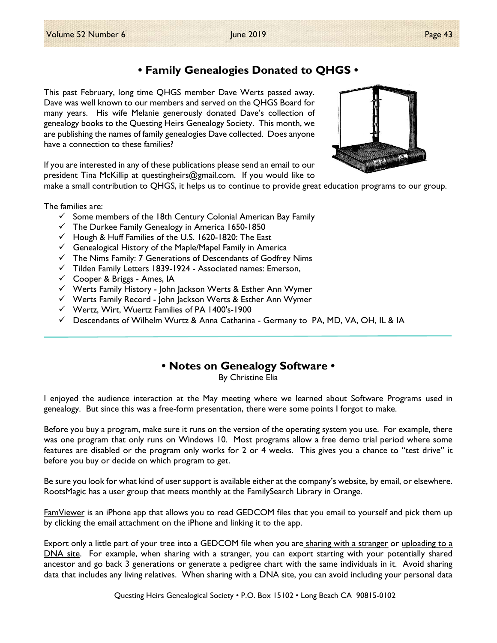# • Family Genealogies Donated to QHGS •

This past February, long time QHGS member Dave Werts passed away. Dave was well known to our members and served on the QHGS Board for many years. His wife Melanie generously donated Dave's collection of genealogy books to the Questing Heirs Genealogy Society. This month, we are publishing the names of family genealogies Dave collected. Does anyone have a connection to these families?



If you are interested in any of these publications please send an email to our president Tina McKillip at questingheirs@gmail.com. If you would like to

make a small contribution to QHGS, it helps us to continue to provide great education programs to our group.

The families are:

- $\checkmark$  Some members of the 18th Century Colonial American Bay Family
- $\checkmark$  The Durkee Family Genealogy in America 1650-1850
- $\checkmark$  Hough & Huff Families of the U.S. 1620-1820: The East
- $\checkmark$  Genealogical History of the Maple/Mapel Family in America
- $\checkmark$  The Nims Family: 7 Generations of Descendants of Godfrey Nims
- $\checkmark$  Tilden Family Letters 1839-1924 Associated names: Emerson,
- Cooper & Briggs Ames, IA
- Werts Family History John Jackson Werts & Esther Ann Wymer
- Werts Family Record John Jackson Werts & Esther Ann Wymer
- $\checkmark$  Wertz, Wirt, Wuertz Families of PA 1400's-1900
- $\checkmark$  Descendants of Wilhelm Wurtz & Anna Catharina Germany to PA, MD, VA, OH, IL & IA

### • Notes on Genealogy Software •

By Christine Elia

I enjoyed the audience interaction at the May meeting where we learned about Software Programs used in genealogy. But since this was a free-form presentation, there were some points I forgot to make.

Before you buy a program, make sure it runs on the version of the operating system you use. For example, there was one program that only runs on Windows 10. Most programs allow a free demo trial period where some features are disabled or the program only works for 2 or 4 weeks. This gives you a chance to "test drive" it before you buy or decide on which program to get.

Be sure you look for what kind of user support is available either at the company's website, by email, or elsewhere. RootsMagic has a user group that meets monthly at the FamilySearch Library in Orange.

FamViewer is an iPhone app that allows you to read GEDCOM files that you email to yourself and pick them up by clicking the email attachment on the iPhone and linking it to the app.

Export only a little part of your tree into a GEDCOM file when you are sharing with a stranger or uploading to a DNA site. For example, when sharing with a stranger, you can export starting with your potentially shared ancestor and go back 3 generations or generate a pedigree chart with the same individuals in it. Avoid sharing data that includes any living relatives. When sharing with a DNA site, you can avoid including your personal data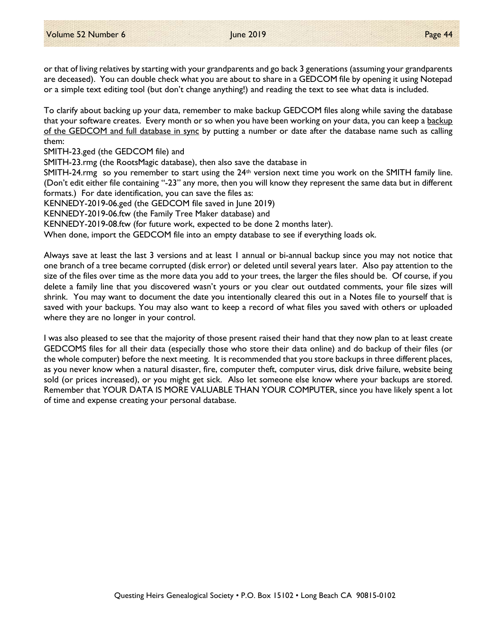or that of living relatives by starting with your grandparents and go back 3 generations (assuming your grandparents are deceased). You can double check what you are about to share in a GEDCOM file by opening it using Notepad or a simple text editing tool (but don't change anything!) and reading the text to see what data is included.

To clarify about backing up your data, remember to make backup GEDCOM files along while saving the database that your software creates. Every month or so when you have been working on your data, you can keep a backup of the GEDCOM and full database in sync by putting a number or date after the database name such as calling them:

SMITH-23.ged (the GEDCOM file) and

SMITH-23.rmg (the RootsMagic database), then also save the database in

SMITH-24.rmg so you remember to start using the  $24<sup>th</sup>$  version next time you work on the SMITH family line. (Don't edit either file containing "-23" any more, then you will know they represent the same data but in different formats.) For date identification, you can save the files as:

KENNEDY-2019-06.ged (the GEDCOM file saved in June 2019)

KENNEDY-2019-06.ftw (the Family Tree Maker database) and

KENNEDY-2019-08.ftw (for future work, expected to be done 2 months later).

When done, import the GEDCOM file into an empty database to see if everything loads ok.

Always save at least the last 3 versions and at least 1 annual or bi-annual backup since you may not notice that one branch of a tree became corrupted (disk error) or deleted until several years later. Also pay attention to the size of the files over time as the more data you add to your trees, the larger the files should be. Of course, if you delete a family line that you discovered wasn't yours or you clear out outdated comments, your file sizes will shrink. You may want to document the date you intentionally cleared this out in a Notes file to yourself that is saved with your backups. You may also want to keep a record of what files you saved with others or uploaded where they are no longer in your control.

I was also pleased to see that the majority of those present raised their hand that they now plan to at least create GEDCOMS files for all their data (especially those who store their data online) and do backup of their files (or the whole computer) before the next meeting. It is recommended that you store backups in three different places, as you never know when a natural disaster, fire, computer theft, computer virus, disk drive failure, website being sold (or prices increased), or you might get sick. Also let someone else know where your backups are stored. Remember that YOUR DATA IS MORE VALUABLE THAN YOUR COMPUTER, since you have likely spent a lot of time and expense creating your personal database.